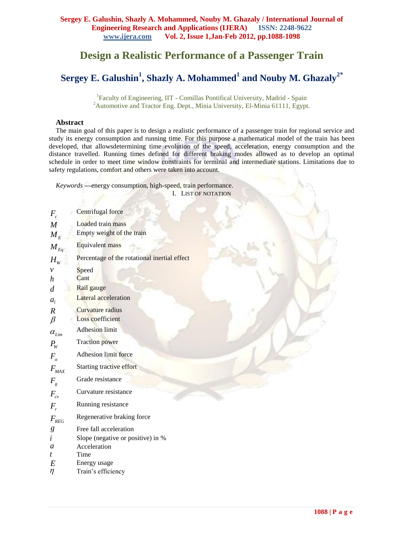# **Design a Realistic Performance of a Passenger Train**

# **Sergey E. Galushin<sup>1</sup> , Shazly A. Mohammed<sup>1</sup> and Nouby M. Ghazaly<sup>2</sup>***\**

<sup>1</sup>Faculty of Engineering, IIT - Comillas Pontifical University, Madrid - Spain <sup>2</sup>Automotive and Tractor Eng. Dept., Minia University, El-Minia 61111, Egypt.

# **Abstract**

The main goal of this paper is to design a realistic performance of a passenger train for regional service and study its energy consumption and running time. For this purpose a mathematical model of the train has been developed, that allowsdetermining time evolution of the speed, acceleration, energy consumption and the distance travelled. Running times defined for different braking modes allowed as to develop an optimal schedule in order to meet time window constraints for terminal and intermediate stations. Limitations due to safety regulations, comfort and others were taken into account.

*Keywords* **—**energy consumption, high-speed, train performance. I. LIST OF NOTATION

| $F_c$              | Centrifugal force                            |
|--------------------|----------------------------------------------|
| M                  | Loaded train mass                            |
| $M_{E}$            | Empty weight of the train                    |
| $M_{Eq}$           | Equivalent mass                              |
| $H_{W}$            | Percentage of the rotational inertial effect |
| $\mathcal V$       | Speed                                        |
| $\boldsymbol{h}$   | Cant                                         |
| $\overline{d}$     | Rail gauge                                   |
| $a_{l}$            | Lateral acceleration                         |
| $\boldsymbol{R}$   | Curvature radius                             |
| $\beta$            | Loss coefficient                             |
| $\alpha_{\rm Lim}$ | <b>Adhesion limit</b>                        |
| $P_{W}$            | <b>Traction</b> power                        |
| $F_{\alpha}$       | Adhesion limit force                         |
| $F_{MAX}$          | Starting tractive effort                     |
| $F_{g}$            | Grade resistance                             |
| $F_{c\nu}$         | Curvature resistance                         |
| $F_r$              | Running resistance                           |
| $F_{REG}$          | Regenerative braking force                   |
| $\boldsymbol{g}$   | Free fall acceleration                       |
| i                  | Slope (negative or positive) in %            |
| a                  | Acceleration                                 |
| t                  | Time                                         |
| E                  | Energy usage                                 |
| η                  | Train's efficiency                           |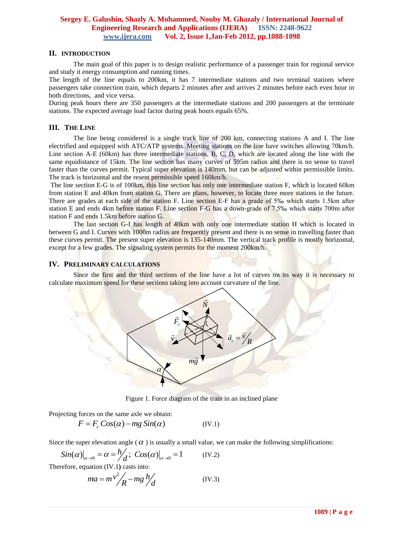#### **II. INTRODUCTION**

The main goal of this paper is to design realistic performance of a passenger train for regional service and study it energy consumption and running times.

The length of the line equals to 200km, it has 7 intermediate stations and two terminal stations where passengers take connection train, which departs 2 minutes after and arrives 2 minutes before each even hour in both directions, and vice versa.

During peak hours there are 350 passengers at the intermediate stations and 200 passengers at the terminate stations. The expected average load factor during peak hours equals 65%.

#### **III. THE LINE**

The line being considered is a single track line of 200 km, connecting stations A and I. The line electrified and equipped with ATC/ATP systems. Meeting stations on the line have switches allowing 70km/h. Line section A-E (60km) has three intermediate stations, B, C, D, which are located along the line with the same equidistance of 15km. The line section has many curves of 595m radius and there is no sense to travel faster than the curves permit. Typical super elevation is 140mm, but can be adjusted within permissible limits. The track is horizontal and the resent permissible speed 160km/h.

The line section E-G is of 100km, this line section has only one intermediate station F, which is located 60km from station E and 40km from station G. There are plans, however, to locate three more stations in the future. There are grades at each side of the station F. Line section E-F has a grade of 5‰ which starts 1.5km after station E and ends 4km before station F. Line section F-G has a down-grade of 7.5‰ which starts 700m after station F and ends 1.5km before station G.

The last section G-I has length of 40km with only one intermediate station H which is located in between G and I. Curves with 1000m radius are frequently present and there is no sense in travelling faster than these curves permit. The present super elevation is 135-140mm. The vertical track profile is mostly horizontal, except for a few grades. The signaling system permits for the moment 200km/h.

#### **IV. PRELIMINARY CALCULATIONS**

Since the first and the third sections of the line have a lot of curves on its way it is necessary to calculate maximum speed for these sections taking into account curvature of the line.



<span id="page-1-0"></span>Figure 1. Force diagram of the train in an inclined plane

Projecting forces on the same axle we obtain:  
\n
$$
F = F_c \cos(\alpha) - mg \sin(\alpha)
$$
\n(IV.1)

Since the super elevation angle (
$$
\alpha
$$
) is usually a small value, we can make the following simplifications:  
\n
$$
Sin(\alpha)|_{\alpha\to 0} = \alpha = h'_{d}; \quad Cos(\alpha)|_{\alpha\to 0} = 1
$$
 (IV.2)

Therefore, equation [\(IV.1](#page-1-0)**)** casts into:

$$
ma = m v^2 / R - mg / l / d \tag{IV.3}
$$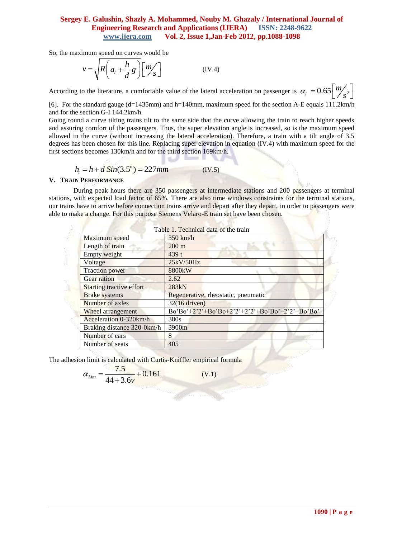So, the maximum speed on curves would be

<span id="page-2-0"></span>
$$
v = \sqrt{R\left(a_l + \frac{h}{d}g\right)} \left[m'_s\right]
$$
 (IV.4)

According to the literature, a comfortable value of the lateral acceleration on passenger is  $\alpha_l = 0.65 \sqrt{\frac{m}{s^2}}$  $\alpha_l = 0.65 \left[\frac{m}{s^2}\right]$ 

[6]. For the standard gauge (d=1435mm) and h=140mm, maximum speed for the section A-E equals 111.2km/h and for the section G-I 144.2km/h.

Going round a curve tilting trains tilt to the same side that the curve allowing the train to reach higher speeds and assuring comfort of the passengers. Thus, the super elevation angle is increased, so is the maximum speed allowed in the curve (without increasing the lateral acceleration). Therefore, a train with a tilt angle of 3.5 degrees has been chosen for this line. Replacing super elevation in equation [\(IV.4\)](#page-2-0) with maximum speed for the first sections becomes 130km/h and for the third section 169km/h.

$$
h_t = h + d \sin(3.5^\circ) = 227 \, \text{mm} \tag{IV.5}
$$

#### **V. TRAIN PERFORMANCE**

During peak hours there are 350 passengers at intermediate stations and 200 passengers at terminal stations, with expected load factor of 65%. There are also time windows constraints for the terminal stations, our trains have to arrive before connection trains arrive and depart after they depart, in order to passengers were able to make a change. For this purpose Siemens Velaro-E train set have been chosen.

**SELLATION** 

|                                 | Table 1. Technical data of the train             |
|---------------------------------|--------------------------------------------------|
| Maximum speed                   | $350$ km/h                                       |
| Length of train                 | $200 \text{ m}$                                  |
| Empty weight                    | 439t                                             |
| Voltage                         | 25kV/50Hz                                        |
| <b>Traction power</b>           | 8800 <sub>k</sub> W                              |
| Gear ration                     | 2.62                                             |
| <b>Starting tractive effort</b> | 283kN                                            |
| <b>Brake</b> systems            | Regenerative, rheostatic, pneumatic              |
| Number of axles                 | $32(16$ driven)                                  |
| Wheel arrangement               | $Bo'Bo'+2'2'+Bo'Bo+2'2'+2'2'+Bo'Bo'+2'2'+Bo'Bo'$ |
| Acceleration 0-320km/h          | 380s                                             |
| Braking distance 320-0km/h      | 3900m                                            |
| Number of cars                  | 8                                                |
| Number of seats                 | 405                                              |

The adhesion limit is calculated with Curtis-Kniffler empirical formula

$$
\alpha_{Lim} = \frac{7.5}{44 + 3.6v} + 0.161
$$

(V.1)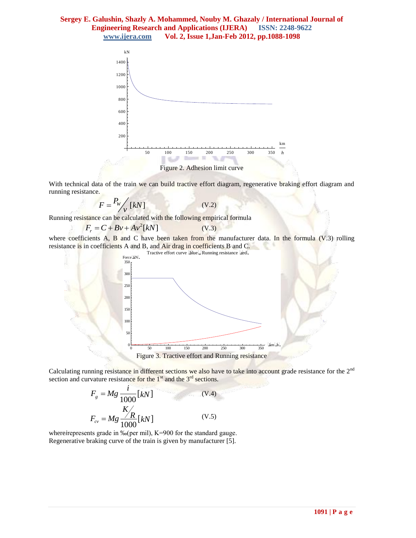

With technical data of the train we can build tractive effort diagram, regenerative braking effort diagram and running resistance.

<span id="page-3-0"></span>(V.2)

$$
F = \frac{P_W}{V} [kN]
$$

Running resistance can be calculated with the following empirical formula<br> $F_r = C + Bv + Av^2[kN]$  (V.3)

$$
F_r = C + Bv + Av^2[kN]
$$
 (V.3)

where coefficients A, B and C have been taken from the manufacturer data. In the formula [\(V.3\)](#page-3-0) rolling resistance is in coefficients A and B, and Air drag in coefficients B and C.



Calculating running resistance in different sections we also have to take into account grade resistance for the 2<sup>nd</sup> section and curvature resistance for the  $1<sup>st</sup>$  and the  $3<sup>rd</sup>$  sections.

$$
F_g = Mg \frac{i}{1000} [kN]
$$
\n
$$
F_{cv} = Mg \frac{K}{1000} [kN]
$$
\n
$$
(V.4)
$$
\n
$$
(V.5)
$$

where*i*represents grade in ‰(per mil), K=900 for the standard gauge. Regenerative braking curve of the train is given by manufacturer [5].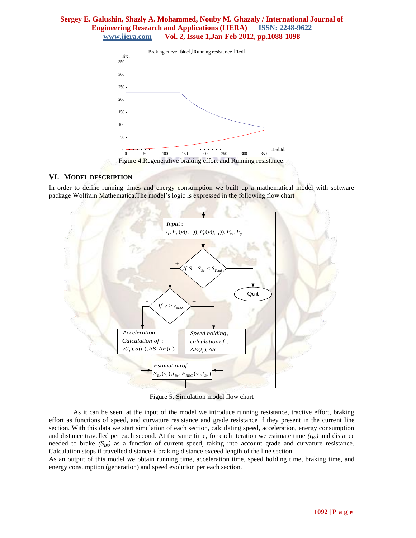

#### **VI. MODEL DESCRIPTION**

In order to define running times and energy consumption we built up a mathematical model with software package Wolfram Mathematica.The model's logic is expressed in the following flow chart



Figure 5. Simulation model flow chart

As it can be seen, at the input of the model we introduce running resistance, tractive effort, braking effort as functions of speed, and curvature resistance and grade resistance if they present in the current line section. With this data we start simulation of each section, calculating speed, acceleration, energy consumption and distance travelled per each second. At the same time, for each iteration we estimate time *(tBr)* and distance needed to brake *(SBr)* as a function of current speed, taking into account grade and curvature resistance. Calculation stops if travelled distance + braking distance exceed length of the line section.

As an output of this model we obtain running time, acceleration time, speed holding time, braking time, and energy consumption (generation) and speed evolution per each section.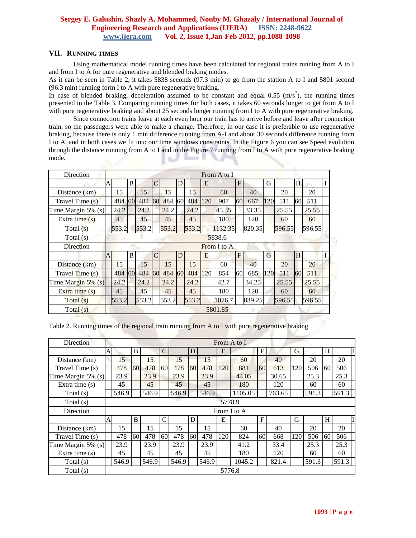#### **VII. RUNNING TIMES**

Using mathematical model running times have been calculated for regional trains running from A to I and from I to A for pure regenerative and blended braking modes.

As it can be seen in Table 2, it takes 5838 seconds (97.3 min) to go from the station A to I and 5801 second (96.3 min) running form I to A with pure regenerative braking.

In case of blended braking, deceleration assumed to be constant and equal 0.55  $(m/s<sup>2</sup>)$ , the running times presented in the Table 3. Comparing running times for both cases, it takes 60 seconds longer to get from A to I with pure regenerative braking and about 25 seconds longer running from I to A with pure regenerative braking.

Since connection trains leave at each even hour our train has to arrive before and leave after connection train, so the passengers were able to make a change. Therefore, in our case it is preferable to use regenerative braking, because there is only 1 min difference running from A-I and about 30 seconds difference running from I to A, and in both cases we fit into our time windows constraints. In the Figure 6 you can see Speed evolution through the distance running from A to I and in the Figure 7 running from I to A with pure regenerative braking mode. 66 H **SILLER** 

| Direction             |   |        |    |       |                |       |           |       |     | From A to I |    |        |                |        |    |        |  |
|-----------------------|---|--------|----|-------|----------------|-------|-----------|-------|-----|-------------|----|--------|----------------|--------|----|--------|--|
|                       | A |        | B  |       | $\overline{C}$ |       | D         |       | E   |             | F  |        | G              |        | H  |        |  |
| Distance (km)         |   | 15     |    | 15    |                | 15    |           | 15    |     | 60          |    | 40     |                | 20     |    | 20     |  |
| Travel Time (s)       |   | 484    | 60 | 484   | 60             | 484   | <b>60</b> | 484   | 120 | 907         | 60 | 667    | 120            | 511    | 60 | 511    |  |
| Time Margin $5\%$ (s) |   | 24.2   |    | 24.2  |                | 24.2  |           | 24.2  |     | 45.35       |    | 33.35  |                | 25.55  |    | 25.55  |  |
| Extra time $(s)$      |   | 45     |    | 45    |                | 45    |           | 45    |     | 180         |    | 120    |                | 60     |    | 60     |  |
| Total $(s)$           |   | 553.2  |    | 553.2 |                | 553.2 |           | 553.2 |     | 1132.35     |    | 820.35 |                | 596.55 |    | 596.55 |  |
| Total(s)              |   | 5838.6 |    |       |                |       |           |       |     |             |    |        |                |        |    |        |  |
| Direction             |   |        |    |       |                |       |           |       |     | From I to A |    |        |                |        |    |        |  |
|                       | A |        | B. |       | $\overline{C}$ |       | D         |       | E   |             | F  |        | $\overline{G}$ |        | H  |        |  |
| Distance (km)         |   | 15     |    | 15    |                | 15    |           | 15    |     | 60          |    | 40     |                | 20     |    | 20     |  |
| Travel Time (s)       |   | 484    | 60 | 484   | 60             | 484   | 60        | 484   | 120 | 854         | 60 | 685    | 120            | 511    | 60 | 511    |  |
| Time Margin $5\%$ (s) |   | 24.2   |    | 24.2  |                | 24.2  |           | 24.2  |     | 42.7        |    | 34.25  |                | 25.55  |    | 25.55  |  |
| Extra time $(s)$      |   | 45     |    | 45    |                | 45    |           | 45    |     | 180         |    | 120    |                | 60     |    | 60     |  |
| Total $(s)$           |   | 553.2  |    | 553.2 |                | 553.2 |           | 553.2 |     | 1076.7      |    | 839.25 |                | 596.55 |    | 596.55 |  |
| Total(s)              |   |        |    |       |                |       |           |       |     | 5801.85     |    |        |                |        |    |        |  |

Table 2. Running times of the regional train running from A to I with pure regenerative braking

| Direction             |              |       |      |       |                |       |                 |       |        | From A to I |                 |        |     | H     |    |       |  |  |  |  |  |
|-----------------------|--------------|-------|------|-------|----------------|-------|-----------------|-------|--------|-------------|-----------------|--------|-----|-------|----|-------|--|--|--|--|--|
|                       | A            |       | B    |       | $\overline{C}$ |       | D               |       | E      |             | F               |        | G   |       |    |       |  |  |  |  |  |
| Distance (km)         |              | 15    |      | 15    |                | 15    |                 | 15    |        | 60          |                 | 40     |     | 20    |    | 20    |  |  |  |  |  |
| Travel Time (s)       |              | 478   | 60   | 478   | 60             | 478   | 60              | 478   | 120    | 881         | 60              | 613    | 120 | 506   | 60 | 506   |  |  |  |  |  |
| Time Margin 5% (s)    |              | 23.9  |      | 23.9  |                | 23.9  |                 | 23.9  |        | 44.05       |                 | 30.65  |     | 25.3  |    | 25.3  |  |  |  |  |  |
| Extra time $(s)$      |              | 45    |      | 45    |                | 45    |                 | 45    |        | 180         |                 | 120    |     | 60    |    | 60    |  |  |  |  |  |
| Total $(s)$           |              | 546.9 |      | 546.9 |                | 546.9 |                 | 546.9 |        | 1105.05     |                 | 763.65 |     | 591.3 |    | 591.3 |  |  |  |  |  |
| Total (s)             |              |       |      |       |                |       |                 |       | 5778.9 |             |                 |        |     |       |    |       |  |  |  |  |  |
| Direction             |              |       |      |       |                |       |                 |       |        | From I to A |                 |        |     |       |    |       |  |  |  |  |  |
|                       | $\mathbf{A}$ |       | B    |       | C              |       | D               |       | E      |             | F               |        | G   |       | H  |       |  |  |  |  |  |
| Distance (km)         |              | 15    |      | 15    |                | 15    |                 | 15    |        | 60          |                 | 40     |     | 20    |    | 20    |  |  |  |  |  |
| Travel Time (s)       |              | 478   | 60 l | 478   | 60             | 478   | 60 <sup>1</sup> | 478   | 120    | 824         | 60 <sup>1</sup> | 668    | 120 | 506   | 60 | 506   |  |  |  |  |  |
| Time Margin $5\%$ (s) |              | 23.9  |      | 23.9  |                | 23.9  |                 | 23.9  |        | 41.2        |                 | 33.4   |     | 25.3  |    | 25.3  |  |  |  |  |  |
| Extra time $(s)$      |              | 45    |      | 45    |                | 45    |                 | 45    |        | 180         |                 | 120    |     | 60    |    | 60    |  |  |  |  |  |
| Total (s)             |              | 546.9 |      | 546.9 |                | 546.9 |                 | 546.9 |        | 1045.2      |                 | 821.4  |     | 591.3 |    | 591.3 |  |  |  |  |  |
| Total $(s)$           |              |       |      |       |                |       |                 |       | 5776.8 |             |                 |        |     |       |    |       |  |  |  |  |  |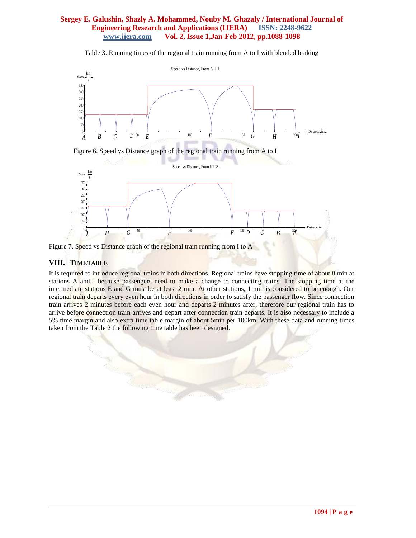Table 3. Running times of the regional train running from A to I with blended braking



Figure 6. Speed vs Distance graph of the regional train running from A to I



Figure 7. Speed vs Distance graph of the regional train running from I to A

# **VIII. TIMETABLE**

It is required to introduce regional trains in both directions. Regional trains have stopping time of about 8 min at stations A and I because passengers need to make a change to connecting trains. The stopping time at the intermediate stations E and G must be at least 2 min. At other stations, 1 min is considered to be enough. Our regional train departs every even hour in both directions in order to satisfy the passenger flow. Since connection train arrives 2 minutes before each even hour and departs 2 minutes after, therefore our regional train has to arrive before connection train arrives and depart after connection train departs. It is also necessary to include a 5% time margin and also extra time table margin of about 5min per 100km. With these data and running times taken from the Table 2 the following time table has been designed.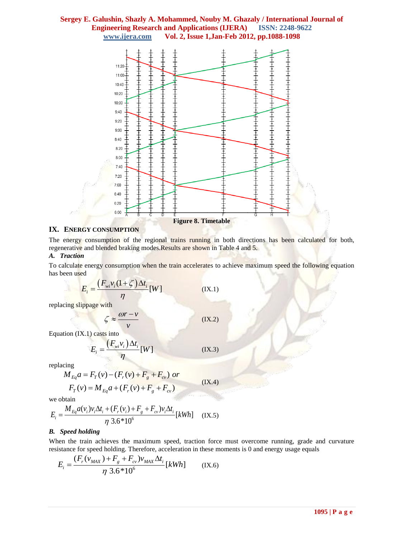

#### **IX. ENERGY CONSUMPTION**

The energy consumption of the regional trains running in both directions has been calculated for both, regenerative and blended braking modes. Results are shown in Table 4 and 5.

#### *A. Traction*

To calculate energy consumption when the train accelerates to achieve maximum speed the following equation has been used

$$
E_i = \frac{\left(F_{wi}\nu_i(1+\zeta)\Delta t_i}{\eta}[W]\right)
$$
 (IX.1)

replacing slippage with

$$
\zeta \approx \frac{\omega r - v}{v} \tag{IX.2}
$$

Equatio[n \(IX.1\)](#page-7-0) casts into

$$
E_i = \frac{(F_{wi}v_i)\Delta t_i}{\eta} [W]
$$
 (IX.3)

replacing

$$
M_{Eq} a = F_T(v) - (F_r(v) + F_g + F_{cv}) \text{ or}
$$
  
\n
$$
F_T(v) = M_{Eq} a + (F_r(v) + F_g + F_{cv})
$$

$$
F_T(v) = M_{Eq}a + (F_r(v) + F_g + F_{cv}
$$

we obtain

we obtain  
\n
$$
E_i = \frac{M_{Eq} a(v_i) v_i \Delta t_i + (F_r(v_i) + F_g + F_{cv}) v_i \Delta t_i}{\eta 3.6*10^6} [kWh]
$$
 (IX.5)

#### *B. Speed holding*

When the train achieves the maximum speed, traction force must overcome running, grade and curvature resistance for speed holding. Therefore, acceleration in these moments is 0 and energy usage equals<br>  $F = \frac{(F_r(v_{MAX}) + F_g + F_{cv})v_{MAX} \Delta t_i}{(V_{av} - V_{av})}$  (V<sub>6</sub>) for speed holding. Therefore, as<br> $F_r(v_{MAX}) + F_g + F_{cv})v_{MAX} \Delta t$ in the maximum speed<br>olding. Therefore, acceler<br> $+ F_g + F_{cy}$ ) $v_{MAX} \Delta t_i$ 

<span id="page-7-0"></span>(IX.4)

$$
E_i = \frac{(F_r(v_{MAX}) + F_g + F_{cv})v_{MAX}\Delta t_i}{\eta 3.6*10^6} [kWh]
$$
 (IX.6)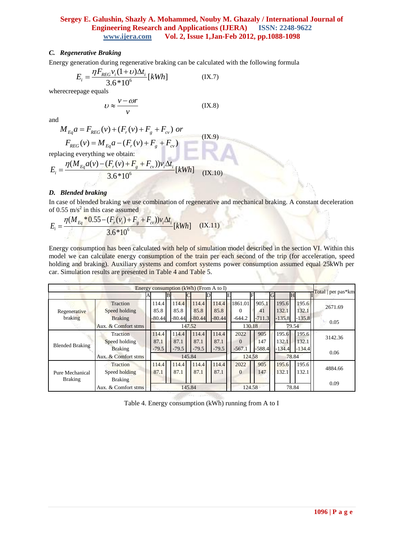### *C. Regenerative Braking*

Energy generation during regenerative braking can be calculated with the following formula  
\n
$$
E_i = \frac{\eta F_{REG} v_i (1 + \nu) \Delta t_i}{3.6 * 10^6} [kWh]
$$
\n(IX.7)

wherecreepage equals

$$
U \approx \frac{v - \omega r}{v}
$$
 (IX.8)

and

$$
M_{Eq}a = F_{REG}(v) + (F_r(v) + F_g + F_{cv}) \text{ or}
$$
  
\n
$$
F_{REG}(v) = M_{Eq}a - (F_r(v) + F_g + F_{cv})
$$
\n
$$
F_{REG}(v) = M_{Eq}a - (F_r(v) + F_g + F_{cv})
$$
\n
$$
= (IX.9)
$$
\n
$$
= (IX.9)
$$

replacing everything we obtain:  
\n
$$
E_i = \frac{\eta(M_{Eq}a(v) - (F_r(v) + F_g + F_{cv}))v_i\Delta t_i}{3.6*10^6} [kWh]
$$
\n(IX.10)

#### *D. Blended braking*

.

In case of blended braking we use combination of regenerative and mechanical braking. A constant deceleration of 0.55 m/s<sup>2</sup> in this case assumed<br>  $F = \frac{\eta (M_{Eq} * 0.55 - (F_r(v_i) + F_g + F_{cv}))v_i \Delta t}{\eta}$ be of biefided braking we use combination of R<br>55 m/s<sup>2</sup> in this case assumed<br> $\eta(M_{Eq} * 0.55 - (F_r(v_i) + F_g + F_{cv}))v_i\Delta t_i$ 

of 0.55 m/s<sup>-</sup> in this case assumed  

$$
E_i = \frac{\eta (M_{Eq} * 0.55 - (F_r(v_i) + F_g + F_{cy}))v_i \Delta t_i}{3.6 * 10^6} [kWh]
$$
(IX.11)

Energy consumption has been calculated with help of simulation model described in the section VI. Within this model we can calculate energy consumption of the train per each second of the trip (for acceleration, speed holding and braking). Auxiliary systems and comfort systems power consumption assumed equal 25kWh per car. Simulation results are presented in Table 4 and Table 5.

|                        | Energy consumption $(kWh)$ (From A to I) |  |                           |  |          |  |          |  |          |  |          |  |          |      |       |  |                    |         |  |
|------------------------|------------------------------------------|--|---------------------------|--|----------|--|----------|--|----------|--|----------|--|----------|------|-------|--|--------------------|---------|--|
|                        |                                          |  | B                         |  |          |  |          |  |          |  |          |  | G        |      |       |  | Total   per pas*km |         |  |
|                        | Traction                                 |  | 114.4                     |  | 114.4    |  | 114.4    |  | 114.4    |  | 1861.01  |  | 905.1    |      | 195.6 |  | 195.6              | 2671.69 |  |
| Regenerative           | Speed holding                            |  | 85.8                      |  | 85.8     |  | 85.8     |  | 85.8     |  | $\Omega$ |  | 41       |      | 132.1 |  | 132.1              |         |  |
| braking                | <b>Braking</b>                           |  | $-80.44$                  |  | $-80.44$ |  | $-80.44$ |  | $-80.44$ |  | $-644.2$ |  | $-711.3$ |      | 135.8 |  | $-135.8$           | 0.05    |  |
|                        | Aux. & Comfort stms                      |  | 147.52<br>130.18<br>79.54 |  |          |  |          |  |          |  |          |  |          |      |       |  |                    |         |  |
|                        | Traction                                 |  | 114.4                     |  | 114.4    |  | 114.4    |  | 114.4    |  | 2022     |  | 905      |      | 195.6 |  | 195.6              | 3142.36 |  |
|                        | Speed holding                            |  | 87.1                      |  | 87.1     |  | 87.1     |  | 87.1     |  | $\Omega$ |  | 147      |      | 132.1 |  | 132.1              |         |  |
| <b>Blended Braking</b> | <b>Braking</b>                           |  | $-79.5$                   |  | $-79.5$  |  | $-79.5$  |  | $-79.5$  |  | $-567.$  |  | $-588.4$ |      | 134.4 |  | $-134.4$           | 0.06    |  |
|                        | Aux. & Comfort stms                      |  | 78.84<br>145.84<br>124.58 |  |          |  |          |  |          |  |          |  |          |      |       |  |                    |         |  |
|                        | Traction                                 |  | 114.4                     |  | 114.4    |  | 114.4    |  | 114.4    |  | 2022     |  | 905      |      | 195.6 |  | 195.6              | 4884.66 |  |
| Pure Mechanical        | Speed holding                            |  | 87.1                      |  | 87.1     |  | 87.1     |  | 87.1     |  | $\Omega$ |  | 147      |      | 132.1 |  | 132.1              |         |  |
| <b>Braking</b>         | <b>Braking</b>                           |  |                           |  |          |  |          |  |          |  |          |  |          |      |       |  |                    |         |  |
|                        | Aux. & Comfort stms                      |  | 78.84<br>145.84<br>124.58 |  |          |  |          |  |          |  |          |  |          | 0.09 |       |  |                    |         |  |

Table 4. Energy consumption (kWh) running from A to I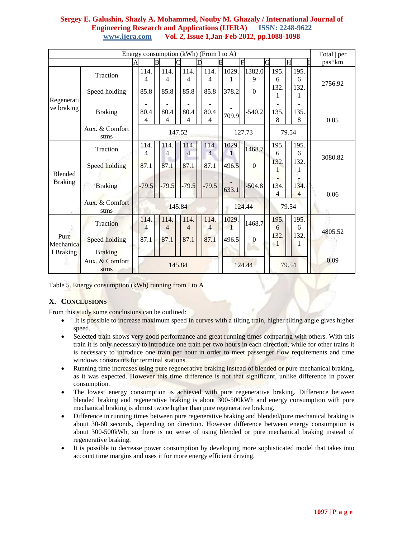|                          | Energy consumption $(kWh)$ (From I to A)<br>A |                                       |                   |                           |                   |                        |                                |      |                                |   |                     |                                 |  |                        |       | Total   per            |         |  |
|--------------------------|-----------------------------------------------|---------------------------------------|-------------------|---------------------------|-------------------|------------------------|--------------------------------|------|--------------------------------|---|---------------------|---------------------------------|--|------------------------|-------|------------------------|---------|--|
|                          |                                               |                                       | $\overline{B}$    |                           |                   |                        |                                |      | F                              | F |                     | G                               |  | Η                      |       | pas*km                 |         |  |
|                          | Traction<br>Speed holding                     |                                       | 114.<br>4<br>85.8 |                           | 114.<br>4<br>85.8 |                        | 114.<br>4<br>85.8              |      | 114.<br>4<br>85.8              |   | 1029.<br>1<br>378.2 | 1382.0<br>9<br>$\boldsymbol{0}$ |  | 195.<br>6<br>132.<br>1 |       | 195.<br>6<br>132.<br>1 | 2756.92 |  |
| Regenerati<br>ve braking | <b>Braking</b><br>Aux. & Comfort              |                                       | 80.4<br>4         |                           | 80.4<br>4         |                        | 80.4<br>4                      |      | 80.4<br>4                      |   | 709.9               | $-540.2$                        |  | 135.<br>8              |       | 135.<br>8              | 0.05    |  |
|                          | stms                                          |                                       |                   | 79.54<br>147.52<br>127.73 |                   |                        |                                |      |                                |   |                     |                                 |  |                        |       |                        |         |  |
| <b>Blended</b>           | Traction<br>Speed holding                     |                                       | 114.<br>4<br>87.1 |                           | 114.<br>4<br>87.1 |                        | 114.<br>$\overline{4}$<br>87.1 |      | 114.<br>$\overline{4}$<br>87.1 |   | 1029.<br>1<br>496.5 | 1468.7<br>$\boldsymbol{0}$      |  | 195.<br>6<br>132.      |       | 195.<br>6<br>132.      | 3080.82 |  |
| <b>Braking</b>           | <b>Braking</b>                                |                                       | $-79.5$           |                           | $-79.5$           |                        | $-79.5$                        |      | $-79.5$                        |   | 633.1               | $-504.8$                        |  | 134.<br>4              |       | 134.<br>$\overline{4}$ | 0.06    |  |
|                          | Aux. & Comfort<br>stms                        |                                       |                   |                           |                   |                        | 145.84                         |      |                                |   | 124.44              |                                 |  |                        | 79.54 |                        |         |  |
|                          | Traction                                      |                                       | 114.<br>4         |                           | 114.<br>4         |                        | 114.<br>4                      |      | 114.<br>$\overline{4}$         |   | 1029.<br>1          | 1468.7                          |  | 195.<br>6              |       | 195.<br>6              | 4805.52 |  |
| Pure<br>Mechanica        | Speed holding                                 | 87.1<br>87.1<br>87.1<br>87.1<br>496.5 |                   | $\boldsymbol{0}$          |                   | 132.<br>$\blacksquare$ |                                | 132. |                                |   |                     |                                 |  |                        |       |                        |         |  |
| 1 Braking                | <b>Braking</b><br>Aux. & Comfort<br>stms      |                                       |                   |                           |                   |                        | 145.84                         |      |                                |   |                     | 124.44                          |  |                        |       | 79.54                  | 0.09    |  |

Table 5. Energy consumption (kWh) running from I to A

# **X. CONCLUSIONS**

From this study some conclusions can be outlined:

- It is possible to increase maximum speed in curves with a tilting train, higher tilting angle gives higher speed.
- Selected train shows very good performance and great running times comparing with others. With this train it is only necessary to introduce one train per two hours in each direction, while for other trains it is necessary to introduce one train per hour in order to meet passenger flow requirements and time windows constraints for terminal stations.
- Running time increases using pure regenerative braking instead of blended or pure mechanical braking, as it was expected. However this time difference is not that significant, unlike difference in power consumption.
- The lowest energy consumption is achieved with pure regenerative braking. Difference between blended braking and regenerative braking is about 300-500kWh and energy consumption with pure mechanical braking is almost twice higher than pure regenerative braking.
- Difference in running times between pure regenerative braking and blended/pure mechanical braking is about 30-60 seconds, depending on direction. However difference between energy consumption is about 300-500kWh, so there is no sense of using blended or pure mechanical braking instead of regenerative braking.
- It is possible to decrease power consumption by developing more sophisticated model that takes into account time margins and uses it for more energy efficient driving.